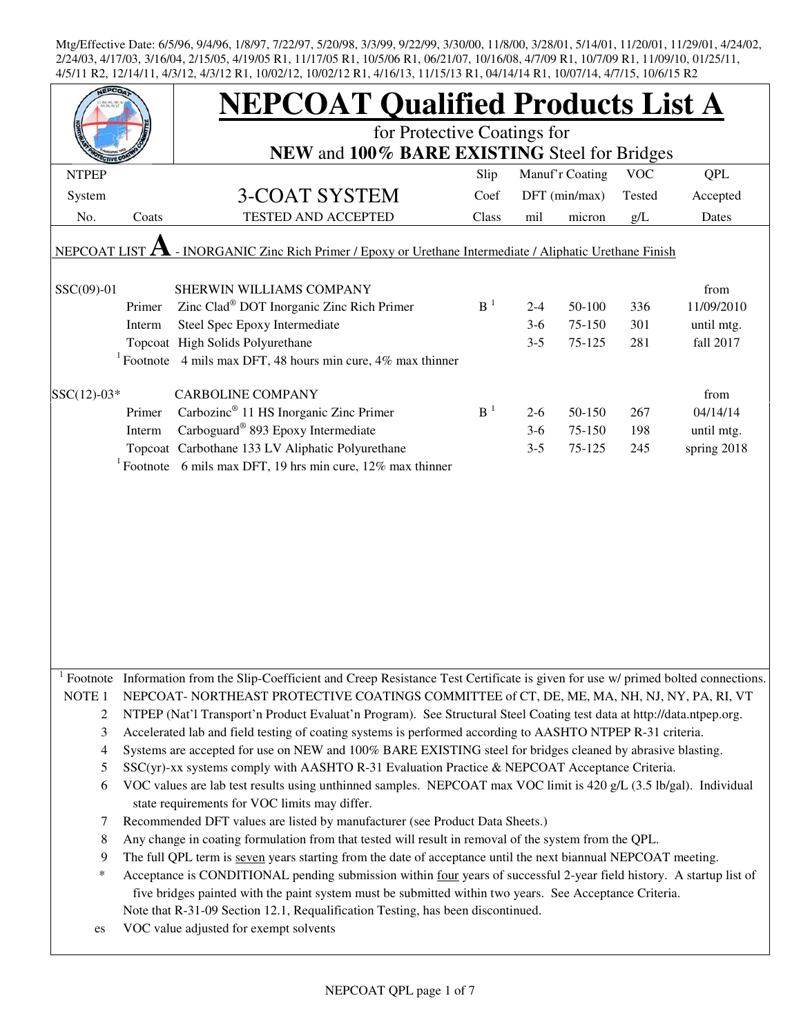|                   |        | <b>NEPCOAT Qualified Products List A</b>                                                                                                                            |       |         |                 |            |             |  |  |  |  |
|-------------------|--------|---------------------------------------------------------------------------------------------------------------------------------------------------------------------|-------|---------|-----------------|------------|-------------|--|--|--|--|
|                   |        | for Protective Coatings for                                                                                                                                         |       |         |                 |            |             |  |  |  |  |
|                   |        | NEW and 100% BARE EXISTING Steel for Bridges                                                                                                                        |       |         |                 |            |             |  |  |  |  |
| <b>NTPEP</b>      |        |                                                                                                                                                                     | Slip  |         | Manuf'r Coating | <b>VOC</b> | <b>QPL</b>  |  |  |  |  |
| System            |        | 3-COAT SYSTEM                                                                                                                                                       | Coef  |         | DFT (min/max)   | Tested     | Accepted    |  |  |  |  |
| No.               | Coats  | <b>TESTED AND ACCEPTED</b>                                                                                                                                          | Class | mil     | micron          | g/L        | Dates       |  |  |  |  |
| NEPCOAT LIST      |        | - INORGANIC Zinc Rich Primer / Epoxy or Urethane Intermediate / Aliphatic Urethane Finish                                                                           |       |         |                 |            |             |  |  |  |  |
|                   |        |                                                                                                                                                                     |       |         |                 |            |             |  |  |  |  |
| SSC(09)-01        |        | SHERWIN WILLIAMS COMPANY                                                                                                                                            |       |         |                 |            | from        |  |  |  |  |
|                   | Primer | Zinc Clad <sup>®</sup> DOT Inorganic Zinc Rich Primer                                                                                                               | $B-1$ | $2 - 4$ | 50-100          | 336        | 11/09/2010  |  |  |  |  |
|                   | Interm | Steel Spec Epoxy Intermediate                                                                                                                                       |       | $3-6$   | 75-150          | 301        | until mtg.  |  |  |  |  |
|                   |        | Topcoat High Solids Polyurethane                                                                                                                                    |       | $3 - 5$ | 75-125          | 281        | fall 2017   |  |  |  |  |
|                   |        | <sup>1</sup> Footnote 4 mils max DFT, 48 hours min cure, 4% max thinner                                                                                             |       |         |                 |            |             |  |  |  |  |
| $SSC(12)-03*$     |        | <b>CARBOLINE COMPANY</b>                                                                                                                                            |       |         |                 |            | from        |  |  |  |  |
|                   | Primer | Carbozinc <sup>®</sup> 11 HS Inorganic Zinc Primer                                                                                                                  | $B-1$ | $2-6$   | 50-150          | 267        | 04/14/14    |  |  |  |  |
|                   | Interm | Carboguard <sup>®</sup> 893 Epoxy Intermediate                                                                                                                      |       | $3-6$   | 75-150          | 198        | until mtg.  |  |  |  |  |
|                   |        | Topcoat Carbothane 133 LV Aliphatic Polyurethane                                                                                                                    |       | $3 - 5$ | 75-125          | 245        | spring 2018 |  |  |  |  |
|                   |        | <sup>1</sup> Footnote 6 mils max DFT, 19 hrs min cure, 12% max thinner                                                                                              |       |         |                 |            |             |  |  |  |  |
|                   |        |                                                                                                                                                                     |       |         |                 |            |             |  |  |  |  |
|                   |        |                                                                                                                                                                     |       |         |                 |            |             |  |  |  |  |
|                   |        |                                                                                                                                                                     |       |         |                 |            |             |  |  |  |  |
|                   |        |                                                                                                                                                                     |       |         |                 |            |             |  |  |  |  |
|                   |        |                                                                                                                                                                     |       |         |                 |            |             |  |  |  |  |
|                   |        |                                                                                                                                                                     |       |         |                 |            |             |  |  |  |  |
|                   |        |                                                                                                                                                                     |       |         |                 |            |             |  |  |  |  |
|                   |        |                                                                                                                                                                     |       |         |                 |            |             |  |  |  |  |
|                   |        |                                                                                                                                                                     |       |         |                 |            |             |  |  |  |  |
|                   |        |                                                                                                                                                                     |       |         |                 |            |             |  |  |  |  |
|                   |        |                                                                                                                                                                     |       |         |                 |            |             |  |  |  |  |
|                   |        | Footnote Information from the Slip-Coefficient and Creep Resistance Test Certificate is given for use w/ primed bolted connections.                                 |       |         |                 |            |             |  |  |  |  |
| NOTE <sub>1</sub> |        | NEPCOAT-NORTHEAST PROTECTIVE COATINGS COMMITTEE of CT, DE, ME, MA, NH, NJ, NY, PA, RI, VT                                                                           |       |         |                 |            |             |  |  |  |  |
| $\overline{c}$    |        | NTPEP (Nat'l Transport'n Product Evaluat'n Program). See Structural Steel Coating test data at http://data.ntpep.org.                                               |       |         |                 |            |             |  |  |  |  |
| 3                 |        | Accelerated lab and field testing of coating systems is performed according to AASHTO NTPEP R-31 criteria.                                                          |       |         |                 |            |             |  |  |  |  |
| 4                 |        | Systems are accepted for use on NEW and 100% BARE EXISTING steel for bridges cleaned by abrasive blasting.                                                          |       |         |                 |            |             |  |  |  |  |
| 5                 |        | SSC(yr)-xx systems comply with AASHTO R-31 Evaluation Practice & NEPCOAT Acceptance Criteria.                                                                       |       |         |                 |            |             |  |  |  |  |
| 6                 |        | VOC values are lab test results using unthinned samples. NEPCOAT max VOC limit is 420 g/L (3.5 lb/gal). Individual<br>state requirements for VOC limits may differ. |       |         |                 |            |             |  |  |  |  |
| 7                 |        | Recommended DFT values are listed by manufacturer (see Product Data Sheets.)                                                                                        |       |         |                 |            |             |  |  |  |  |
| 8                 |        | Any change in coating formulation from that tested will result in removal of the system from the QPL.                                                               |       |         |                 |            |             |  |  |  |  |
| 9                 |        | The full QPL term is seven years starting from the date of acceptance until the next biannual NEPCOAT meeting.                                                      |       |         |                 |            |             |  |  |  |  |
| *                 |        | Acceptance is CONDITIONAL pending submission within four years of successful 2-year field history. A startup list of                                                |       |         |                 |            |             |  |  |  |  |
|                   |        | five bridges painted with the paint system must be submitted within two years. See Acceptance Criteria.                                                             |       |         |                 |            |             |  |  |  |  |
|                   |        | Note that R-31-09 Section 12.1, Requalification Testing, has been discontinued.                                                                                     |       |         |                 |            |             |  |  |  |  |
| es                |        | VOC value adjusted for exempt solvents                                                                                                                              |       |         |                 |            |             |  |  |  |  |
|                   |        |                                                                                                                                                                     |       |         |                 |            |             |  |  |  |  |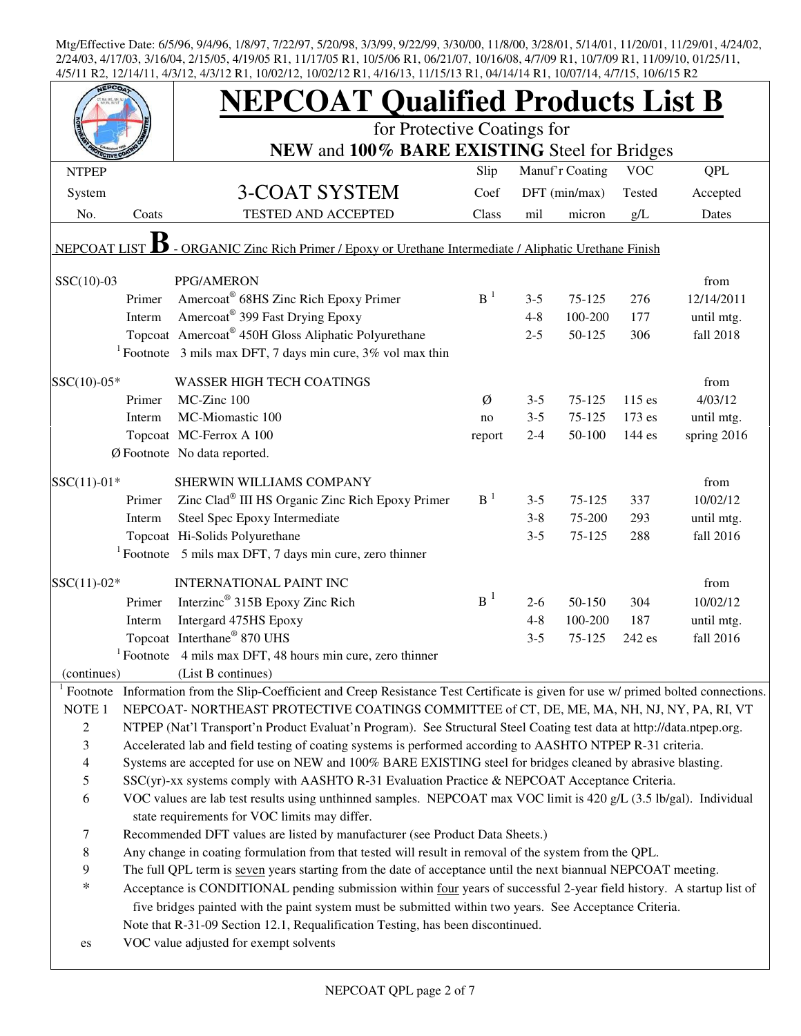|                     |        | <b>NEPCOAT Qualified Products List B</b>                                                                                                                            |        |         |                 |            |             |  |  |
|---------------------|--------|---------------------------------------------------------------------------------------------------------------------------------------------------------------------|--------|---------|-----------------|------------|-------------|--|--|
|                     |        | for Protective Coatings for                                                                                                                                         |        |         |                 |            |             |  |  |
|                     |        | NEW and 100% BARE EXISTING Steel for Bridges                                                                                                                        |        |         |                 |            |             |  |  |
| <b>NTPEP</b>        |        |                                                                                                                                                                     | Slip   |         | Manuf'r Coating | <b>VOC</b> | <b>QPL</b>  |  |  |
| System              |        | 3-COAT SYSTEM                                                                                                                                                       | Coef   |         | DFT (min/max)   | Tested     | Accepted    |  |  |
| No.                 | Coats  | TESTED AND ACCEPTED                                                                                                                                                 | Class  | mil     | micron          | g/L        | Dates       |  |  |
| <b>NEPCOAT LIST</b> |        | - ORGANIC Zinc Rich Primer / Epoxy or Urethane Intermediate / Aliphatic Urethane Finish                                                                             |        |         |                 |            |             |  |  |
| $SSC(10)-03$        |        | PPG/AMERON                                                                                                                                                          |        |         |                 |            | from        |  |  |
|                     | Primer | Amercoat® 68HS Zinc Rich Epoxy Primer                                                                                                                               | $B-1$  | $3 - 5$ | $75 - 125$      | 276        | 12/14/2011  |  |  |
|                     | Interm | Amercoat <sup>®</sup> 399 Fast Drying Epoxy                                                                                                                         |        | $4 - 8$ | 100-200         | 177        | until mtg.  |  |  |
|                     |        | Topcoat Amercoat® 450H Gloss Aliphatic Polyurethane                                                                                                                 |        | $2 - 5$ | 50-125          | 306        | fall 2018   |  |  |
|                     |        | <sup>1</sup> Footnote 3 mils max DFT, 7 days min cure, $3\%$ vol max thin                                                                                           |        |         |                 |            |             |  |  |
| SSC(10)-05*         |        | <b>WASSER HIGH TECH COATINGS</b>                                                                                                                                    |        |         |                 |            | from        |  |  |
|                     | Primer | MC-Zinc 100                                                                                                                                                         | Ø      | $3 - 5$ | 75-125          | 115 es     | 4/03/12     |  |  |
|                     | Interm | MC-Miomastic 100                                                                                                                                                    | no     | $3 - 5$ | 75-125          | 173 es     | until mtg.  |  |  |
|                     |        | Topcoat MC-Ferrox A 100                                                                                                                                             | report | $2 - 4$ | 50-100          | 144 es     | spring 2016 |  |  |
|                     |        | Ø Footnote No data reported.                                                                                                                                        |        |         |                 |            |             |  |  |
| $SSC(11)-01*$       |        | SHERWIN WILLIAMS COMPANY                                                                                                                                            |        |         |                 |            | from        |  |  |
|                     | Primer | Zinc Clad® III HS Organic Zinc Rich Epoxy Primer                                                                                                                    | $B-1$  | $3 - 5$ | 75-125          | 337        | 10/02/12    |  |  |
|                     | Interm | Steel Spec Epoxy Intermediate                                                                                                                                       |        | $3 - 8$ | 75-200          | 293        | until mtg.  |  |  |
|                     |        | Topcoat Hi-Solids Polyurethane                                                                                                                                      |        | $3 - 5$ | 75-125          | 288        | fall 2016   |  |  |
|                     |        | $1$ Footnote 5 mils max DFT, 7 days min cure, zero thinner                                                                                                          |        |         |                 |            |             |  |  |
| $SSC(11)-02*$       |        | <b>INTERNATIONAL PAINT INC</b>                                                                                                                                      |        |         |                 |            | from        |  |  |
|                     | Primer | Interzinc <sup>®</sup> 315B Epoxy Zinc Rich                                                                                                                         | $B^1$  | $2 - 6$ | 50-150          | 304        | 10/02/12    |  |  |
|                     | Interm | Intergard 475HS Epoxy                                                                                                                                               |        | $4 - 8$ | 100-200         | 187        | until mtg.  |  |  |
|                     |        | Topcoat Interthane <sup>®</sup> 870 UHS                                                                                                                             |        | $3 - 5$ | 75-125          | 242 es     | fall 2016   |  |  |
|                     |        | $1$ Footnote 4 mils max DFT, 48 hours min cure, zero thinner                                                                                                        |        |         |                 |            |             |  |  |
| (continues)         |        | (List B continues)                                                                                                                                                  |        |         |                 |            |             |  |  |
| Footnote            |        | Information from the Slip-Coefficient and Creep Resistance Test Certificate is given for use w/ primed bolted connections.                                          |        |         |                 |            |             |  |  |
| NOTE <sub>1</sub>   |        | NEPCOAT-NORTHEAST PROTECTIVE COATINGS COMMITTEE of CT, DE, ME, MA, NH, NJ, NY, PA, RI, VT                                                                           |        |         |                 |            |             |  |  |
| $\overline{c}$      |        | NTPEP (Nat'l Transport'n Product Evaluat'n Program). See Structural Steel Coating test data at http://data.ntpep.org.                                               |        |         |                 |            |             |  |  |
| 3                   |        | Accelerated lab and field testing of coating systems is performed according to AASHTO NTPEP R-31 criteria.                                                          |        |         |                 |            |             |  |  |
| $\overline{4}$      |        | Systems are accepted for use on NEW and 100% BARE EXISTING steel for bridges cleaned by abrasive blasting.                                                          |        |         |                 |            |             |  |  |
| $\sqrt{5}$          |        | SSC(yr)-xx systems comply with AASHTO R-31 Evaluation Practice & NEPCOAT Acceptance Criteria.                                                                       |        |         |                 |            |             |  |  |
| 6                   |        | VOC values are lab test results using unthinned samples. NEPCOAT max VOC limit is 420 g/L (3.5 lb/gal). Individual<br>state requirements for VOC limits may differ. |        |         |                 |            |             |  |  |
| $\tau$              |        | Recommended DFT values are listed by manufacturer (see Product Data Sheets.)                                                                                        |        |         |                 |            |             |  |  |
| $\,8\,$             |        | Any change in coating formulation from that tested will result in removal of the system from the QPL.                                                               |        |         |                 |            |             |  |  |
| 9                   |        | The full QPL term is seven years starting from the date of acceptance until the next biannual NEPCOAT meeting.                                                      |        |         |                 |            |             |  |  |
| $\ast$              |        | Acceptance is CONDITIONAL pending submission within four years of successful 2-year field history. A startup list of                                                |        |         |                 |            |             |  |  |
|                     |        | five bridges painted with the paint system must be submitted within two years. See Acceptance Criteria.                                                             |        |         |                 |            |             |  |  |
|                     |        | Note that R-31-09 Section 12.1, Requalification Testing, has been discontinued.                                                                                     |        |         |                 |            |             |  |  |
| es                  |        | VOC value adjusted for exempt solvents                                                                                                                              |        |         |                 |            |             |  |  |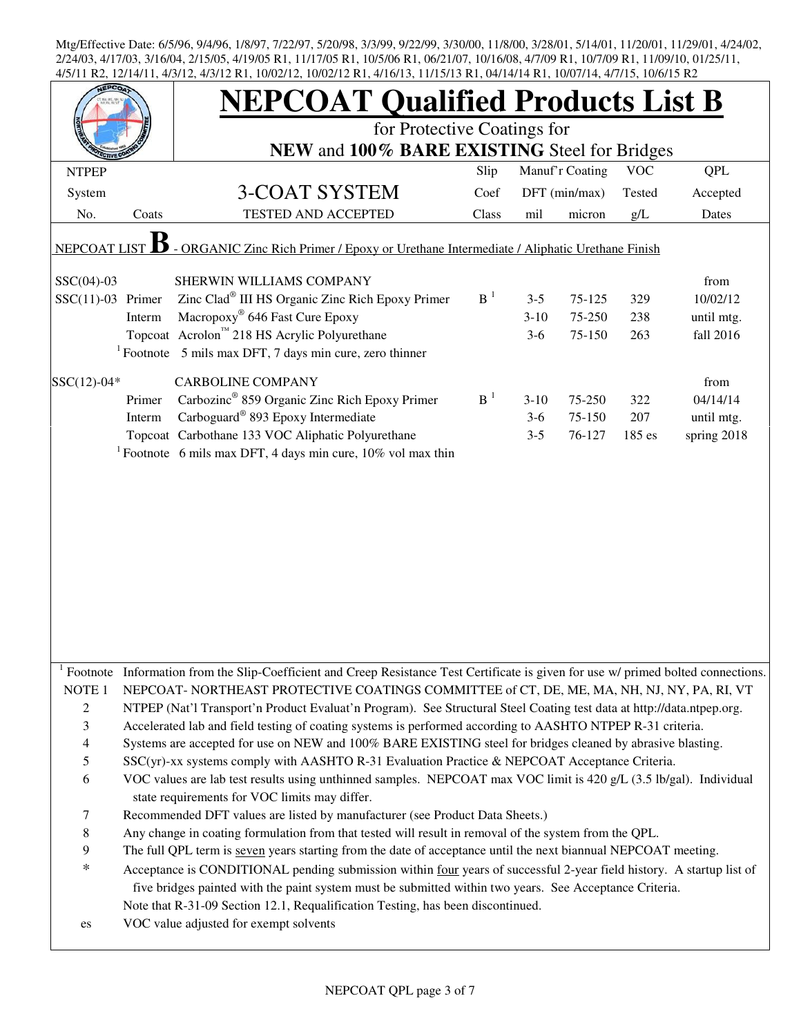|                          |        | <b>NEPCOAT Qualified Products List B</b><br>for Protective Coatings for<br>NEW and 100% BARE EXISTING Steel for Bridges                                                                                                                                                                                            |                |                 |               |        |             |  |  |  |
|--------------------------|--------|--------------------------------------------------------------------------------------------------------------------------------------------------------------------------------------------------------------------------------------------------------------------------------------------------------------------|----------------|-----------------|---------------|--------|-------------|--|--|--|
| <b>NTPEP</b>             |        |                                                                                                                                                                                                                                                                                                                    | Slip           | Manuf'r Coating | <b>VOC</b>    | QPL    |             |  |  |  |
| System                   |        | 3-COAT SYSTEM                                                                                                                                                                                                                                                                                                      | Coef           |                 | DFT (min/max) | Tested | Accepted    |  |  |  |
| No.                      | Coats  | TESTED AND ACCEPTED                                                                                                                                                                                                                                                                                                | Class          | mil             | micron        | g/L    | Dates       |  |  |  |
| NEPCOAT LIST             |        | - ORGANIC Zinc Rich Primer / Epoxy or Urethane Intermediate / Aliphatic Urethane Finish                                                                                                                                                                                                                            |                |                 |               |        |             |  |  |  |
| $SSC(04)-03$             |        | SHERWIN WILLIAMS COMPANY                                                                                                                                                                                                                                                                                           |                |                 |               |        | from        |  |  |  |
| $SSC(11)-03$ Primer      |        | Zinc Clad <sup>®</sup> III HS Organic Zinc Rich Epoxy Primer                                                                                                                                                                                                                                                       | B <sup>1</sup> | $3 - 5$         | 75-125        | 329    | 10/02/12    |  |  |  |
|                          | Interm | Macropoxy <sup>®</sup> 646 Fast Cure Epoxy                                                                                                                                                                                                                                                                         |                | $3-10$          | 75-250        | 238    | until mtg.  |  |  |  |
|                          |        | Topcoat Acrolon™ 218 HS Acrylic Polyurethane                                                                                                                                                                                                                                                                       |                | $3-6$           | 75-150        | 263    | fall 2016   |  |  |  |
|                          |        | $1$ Footnote 5 mils max DFT, 7 days min cure, zero thinner                                                                                                                                                                                                                                                         |                |                 |               |        |             |  |  |  |
| $SSC(12)-04*$            |        | <b>CARBOLINE COMPANY</b>                                                                                                                                                                                                                                                                                           |                |                 |               |        | from        |  |  |  |
|                          | Primer | Carbozinc <sup>®</sup> 859 Organic Zinc Rich Epoxy Primer                                                                                                                                                                                                                                                          | B <sup>1</sup> | $3-10$          | 75-250        | 322    | 04/14/14    |  |  |  |
|                          | Interm | Carboguard <sup>®</sup> 893 Epoxy Intermediate                                                                                                                                                                                                                                                                     |                | $3-6$           | 75-150        | 207    | until mtg.  |  |  |  |
|                          |        | Topcoat Carbothane 133 VOC Aliphatic Polyurethane                                                                                                                                                                                                                                                                  |                | $3 - 5$         | 76-127        | 185 es | spring 2018 |  |  |  |
|                          |        | <sup>1</sup> Footnote 6 mils max DFT, 4 days min cure, $10\%$ vol max thin                                                                                                                                                                                                                                         |                |                 |               |        |             |  |  |  |
|                          |        |                                                                                                                                                                                                                                                                                                                    |                |                 |               |        |             |  |  |  |
|                          |        | Footnote Information from the Slip-Coefficient and Creep Resistance Test Certificate is given for use w/ primed bolted connections.                                                                                                                                                                                |                |                 |               |        |             |  |  |  |
| NOTE <sub>1</sub>        |        | NEPCOAT-NORTHEAST PROTECTIVE COATINGS COMMITTEE of CT, DE, ME, MA, NH, NJ, NY, PA, RI, VT                                                                                                                                                                                                                          |                |                 |               |        |             |  |  |  |
| $\overline{c}$           |        | NTPEP (Nat'l Transport'n Product Evaluat'n Program). See Structural Steel Coating test data at http://data.ntpep.org.                                                                                                                                                                                              |                |                 |               |        |             |  |  |  |
| 3                        |        | Accelerated lab and field testing of coating systems is performed according to AASHTO NTPEP R-31 criteria.                                                                                                                                                                                                         |                |                 |               |        |             |  |  |  |
| $\overline{\mathcal{L}}$ |        | Systems are accepted for use on NEW and 100% BARE EXISTING steel for bridges cleaned by abrasive blasting.                                                                                                                                                                                                         |                |                 |               |        |             |  |  |  |
| 5                        |        | SSC(yr)-xx systems comply with AASHTO R-31 Evaluation Practice & NEPCOAT Acceptance Criteria.                                                                                                                                                                                                                      |                |                 |               |        |             |  |  |  |
| 6                        |        | VOC values are lab test results using unthinned samples. NEPCOAT max VOC limit is 420 g/L (3.5 lb/gal). Individual<br>state requirements for VOC limits may differ.                                                                                                                                                |                |                 |               |        |             |  |  |  |
| 7                        |        | Recommended DFT values are listed by manufacturer (see Product Data Sheets.)                                                                                                                                                                                                                                       |                |                 |               |        |             |  |  |  |
| $\,$ 8 $\,$              |        | Any change in coating formulation from that tested will result in removal of the system from the QPL.                                                                                                                                                                                                              |                |                 |               |        |             |  |  |  |
| 9                        |        | The full QPL term is seven years starting from the date of acceptance until the next biannual NEPCOAT meeting.                                                                                                                                                                                                     |                |                 |               |        |             |  |  |  |
| $\ast$                   |        | Acceptance is CONDITIONAL pending submission within four years of successful 2-year field history. A startup list of<br>five bridges painted with the paint system must be submitted within two years. See Acceptance Criteria.<br>Note that R-31-09 Section 12.1, Requalification Testing, has been discontinued. |                |                 |               |        |             |  |  |  |
| es                       |        | VOC value adjusted for exempt solvents                                                                                                                                                                                                                                                                             |                |                 |               |        |             |  |  |  |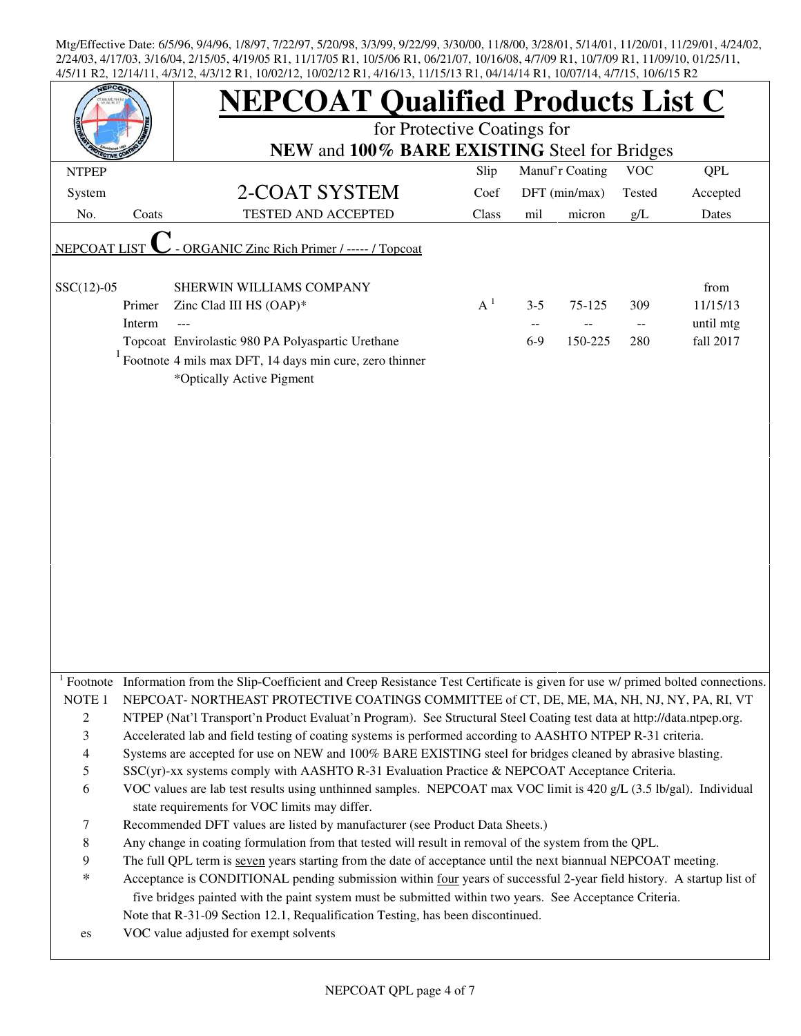|                   |        | <b>NEPCOAT Qualified Products List C</b>                                                                                                                                                                                        |       |         |                 |            |            |  |  |  |
|-------------------|--------|---------------------------------------------------------------------------------------------------------------------------------------------------------------------------------------------------------------------------------|-------|---------|-----------------|------------|------------|--|--|--|
|                   |        | for Protective Coatings for                                                                                                                                                                                                     |       |         |                 |            |            |  |  |  |
|                   |        | NEW and 100% BARE EXISTING Steel for Bridges                                                                                                                                                                                    |       |         |                 |            |            |  |  |  |
| <b>NTPEP</b>      |        |                                                                                                                                                                                                                                 | Slip  |         | Manuf'r Coating | <b>VOC</b> | <b>QPL</b> |  |  |  |
| System            |        | 2-COAT SYSTEM                                                                                                                                                                                                                   | Coef  |         | DFT (min/max)   | Tested     | Accepted   |  |  |  |
| No.               | Coats  | <b>TESTED AND ACCEPTED</b>                                                                                                                                                                                                      | Class | mil     | micron          | g/L        | Dates      |  |  |  |
| NEPCOAT LIST      |        | - ORGANIC Zinc Rich Primer / ----- / Topcoat                                                                                                                                                                                    |       |         |                 |            |            |  |  |  |
| $SSC(12)-05$      |        | SHERWIN WILLIAMS COMPANY                                                                                                                                                                                                        |       |         |                 |            | from       |  |  |  |
|                   | Primer | Zinc Clad III HS (OAP)*                                                                                                                                                                                                         | $A^1$ | $3 - 5$ | 75-125          | 309        | 11/15/13   |  |  |  |
|                   | Interm |                                                                                                                                                                                                                                 |       |         |                 |            | until mtg  |  |  |  |
|                   |        | Topcoat Envirolastic 980 PA Polyaspartic Urethane                                                                                                                                                                               |       | $6-9$   | 150-225         | 280        | fall 2017  |  |  |  |
|                   |        | Footnote 4 mils max DFT, 14 days min cure, zero thinner<br>*Optically Active Pigment                                                                                                                                            |       |         |                 |            |            |  |  |  |
|                   |        |                                                                                                                                                                                                                                 |       |         |                 |            |            |  |  |  |
|                   |        |                                                                                                                                                                                                                                 |       |         |                 |            |            |  |  |  |
|                   |        |                                                                                                                                                                                                                                 |       |         |                 |            |            |  |  |  |
|                   |        |                                                                                                                                                                                                                                 |       |         |                 |            |            |  |  |  |
|                   |        |                                                                                                                                                                                                                                 |       |         |                 |            |            |  |  |  |
|                   |        |                                                                                                                                                                                                                                 |       |         |                 |            |            |  |  |  |
|                   |        |                                                                                                                                                                                                                                 |       |         |                 |            |            |  |  |  |
|                   |        |                                                                                                                                                                                                                                 |       |         |                 |            |            |  |  |  |
|                   |        |                                                                                                                                                                                                                                 |       |         |                 |            |            |  |  |  |
|                   |        |                                                                                                                                                                                                                                 |       |         |                 |            |            |  |  |  |
|                   |        |                                                                                                                                                                                                                                 |       |         |                 |            |            |  |  |  |
|                   |        |                                                                                                                                                                                                                                 |       |         |                 |            |            |  |  |  |
|                   |        |                                                                                                                                                                                                                                 |       |         |                 |            |            |  |  |  |
|                   |        |                                                                                                                                                                                                                                 |       |         |                 |            |            |  |  |  |
|                   |        | <sup>1</sup> Footnote Information from the Slip-Coefficient and Creep Resistance Test Certificate is given for use w/ primed bolted connections.                                                                                |       |         |                 |            |            |  |  |  |
| NOTE <sub>1</sub> |        | NEPCOAT-NORTHEAST PROTECTIVE COATINGS COMMITTEE of CT, DE, ME, MA, NH, NJ, NY, PA, RI, VT                                                                                                                                       |       |         |                 |            |            |  |  |  |
| $\overline{c}$    |        | NTPEP (Nat'l Transport'n Product Evaluat'n Program). See Structural Steel Coating test data at http://data.ntpep.org.                                                                                                           |       |         |                 |            |            |  |  |  |
| 3                 |        | Accelerated lab and field testing of coating systems is performed according to AASHTO NTPEP R-31 criteria.                                                                                                                      |       |         |                 |            |            |  |  |  |
| 4                 |        | Systems are accepted for use on NEW and 100% BARE EXISTING steel for bridges cleaned by abrasive blasting.                                                                                                                      |       |         |                 |            |            |  |  |  |
| 5                 |        | SSC(yr)-xx systems comply with AASHTO R-31 Evaluation Practice & NEPCOAT Acceptance Criteria.                                                                                                                                   |       |         |                 |            |            |  |  |  |
| 6                 |        | VOC values are lab test results using unthinned samples. NEPCOAT max VOC limit is 420 g/L (3.5 lb/gal). Individual<br>state requirements for VOC limits may differ.                                                             |       |         |                 |            |            |  |  |  |
| 7                 |        | Recommended DFT values are listed by manufacturer (see Product Data Sheets.)                                                                                                                                                    |       |         |                 |            |            |  |  |  |
| 8                 |        | Any change in coating formulation from that tested will result in removal of the system from the QPL.                                                                                                                           |       |         |                 |            |            |  |  |  |
| 9                 |        | The full QPL term is seven years starting from the date of acceptance until the next biannual NEPCOAT meeting.                                                                                                                  |       |         |                 |            |            |  |  |  |
| *                 |        | Acceptance is CONDITIONAL pending submission within four years of successful 2-year field history. A startup list of<br>five bridges painted with the paint system must be submitted within two years. See Acceptance Criteria. |       |         |                 |            |            |  |  |  |
|                   |        | Note that R-31-09 Section 12.1, Requalification Testing, has been discontinued.                                                                                                                                                 |       |         |                 |            |            |  |  |  |
| es                |        | VOC value adjusted for exempt solvents                                                                                                                                                                                          |       |         |                 |            |            |  |  |  |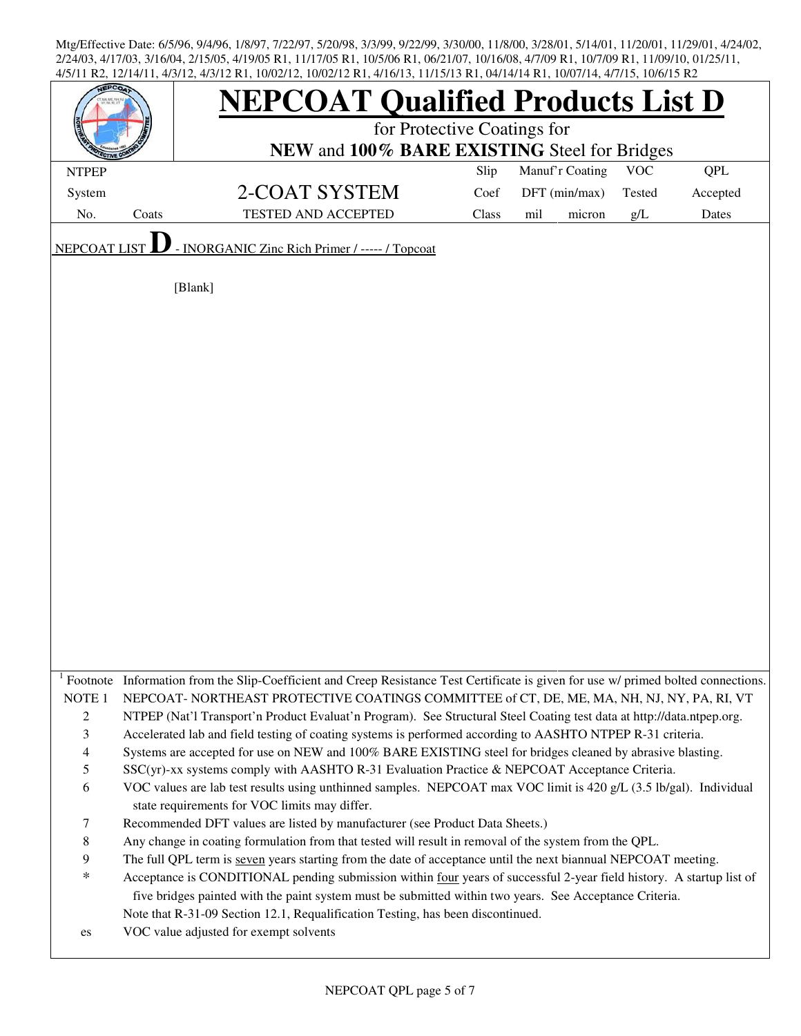|                                                                                                              |       | <b>NEPCOAT Qualified Products List D</b><br>for Protective Coatings for<br>NEW and 100% BARE EXISTING Steel for Bridges                                                                                                                                                                                                                                                                                                                                                                                                                                                                                                                                                                                                                                                                                                                                                                                                                                                                                                                                                                                                                                                                                                                                                                                                                                                                                                                                                                                                                     |       |                 |            |            |  |  |  |  |
|--------------------------------------------------------------------------------------------------------------|-------|---------------------------------------------------------------------------------------------------------------------------------------------------------------------------------------------------------------------------------------------------------------------------------------------------------------------------------------------------------------------------------------------------------------------------------------------------------------------------------------------------------------------------------------------------------------------------------------------------------------------------------------------------------------------------------------------------------------------------------------------------------------------------------------------------------------------------------------------------------------------------------------------------------------------------------------------------------------------------------------------------------------------------------------------------------------------------------------------------------------------------------------------------------------------------------------------------------------------------------------------------------------------------------------------------------------------------------------------------------------------------------------------------------------------------------------------------------------------------------------------------------------------------------------------|-------|-----------------|------------|------------|--|--|--|--|
| <b>NTPEP</b>                                                                                                 |       |                                                                                                                                                                                                                                                                                                                                                                                                                                                                                                                                                                                                                                                                                                                                                                                                                                                                                                                                                                                                                                                                                                                                                                                                                                                                                                                                                                                                                                                                                                                                             | Slip  | Manuf'r Coating | <b>VOC</b> | <b>QPL</b> |  |  |  |  |
| System                                                                                                       |       | 2-COAT SYSTEM                                                                                                                                                                                                                                                                                                                                                                                                                                                                                                                                                                                                                                                                                                                                                                                                                                                                                                                                                                                                                                                                                                                                                                                                                                                                                                                                                                                                                                                                                                                               | Coef  | DFT (min/max)   | Tested     | Accepted   |  |  |  |  |
| No.                                                                                                          | Coats | <b>TESTED AND ACCEPTED</b>                                                                                                                                                                                                                                                                                                                                                                                                                                                                                                                                                                                                                                                                                                                                                                                                                                                                                                                                                                                                                                                                                                                                                                                                                                                                                                                                                                                                                                                                                                                  | Class | mil<br>micron   | g/L        | Dates      |  |  |  |  |
|                                                                                                              |       |                                                                                                                                                                                                                                                                                                                                                                                                                                                                                                                                                                                                                                                                                                                                                                                                                                                                                                                                                                                                                                                                                                                                                                                                                                                                                                                                                                                                                                                                                                                                             |       |                 |            |            |  |  |  |  |
| <b>NEPCOAT LIST</b>                                                                                          |       | - INORGANIC Zinc Rich Primer / ----- / Topcoat<br>[Blank]                                                                                                                                                                                                                                                                                                                                                                                                                                                                                                                                                                                                                                                                                                                                                                                                                                                                                                                                                                                                                                                                                                                                                                                                                                                                                                                                                                                                                                                                                   |       |                 |            |            |  |  |  |  |
|                                                                                                              |       |                                                                                                                                                                                                                                                                                                                                                                                                                                                                                                                                                                                                                                                                                                                                                                                                                                                                                                                                                                                                                                                                                                                                                                                                                                                                                                                                                                                                                                                                                                                                             |       |                 |            |            |  |  |  |  |
| NOTE <sub>1</sub><br>$\mathbf{2}$<br>3<br>$\overline{4}$<br>5<br>6<br>$\tau$<br>$\,8\,$<br>9<br>$\ast$<br>es |       | Footnote Information from the Slip-Coefficient and Creep Resistance Test Certificate is given for use w/ primed bolted connections.<br>NEPCOAT-NORTHEAST PROTECTIVE COATINGS COMMITTEE of CT, DE, ME, MA, NH, NJ, NY, PA, RI, VT<br>NTPEP (Nat'l Transport'n Product Evaluat'n Program). See Structural Steel Coating test data at http://data.ntpep.org.<br>Accelerated lab and field testing of coating systems is performed according to AASHTO NTPEP R-31 criteria.<br>Systems are accepted for use on NEW and 100% BARE EXISTING steel for bridges cleaned by abrasive blasting.<br>$SSC(yr)$ -xx systems comply with AASHTO R-31 Evaluation Practice & NEPCOAT Acceptance Criteria.<br>VOC values are lab test results using unthinned samples. NEPCOAT max VOC limit is 420 g/L (3.5 lb/gal). Individual<br>state requirements for VOC limits may differ.<br>Recommended DFT values are listed by manufacturer (see Product Data Sheets.)<br>Any change in coating formulation from that tested will result in removal of the system from the QPL.<br>The full QPL term is seven years starting from the date of acceptance until the next biannual NEPCOAT meeting.<br>Acceptance is CONDITIONAL pending submission within four years of successful 2-year field history. A startup list of<br>five bridges painted with the paint system must be submitted within two years. See Acceptance Criteria.<br>Note that R-31-09 Section 12.1, Requalification Testing, has been discontinued.<br>VOC value adjusted for exempt solvents |       |                 |            |            |  |  |  |  |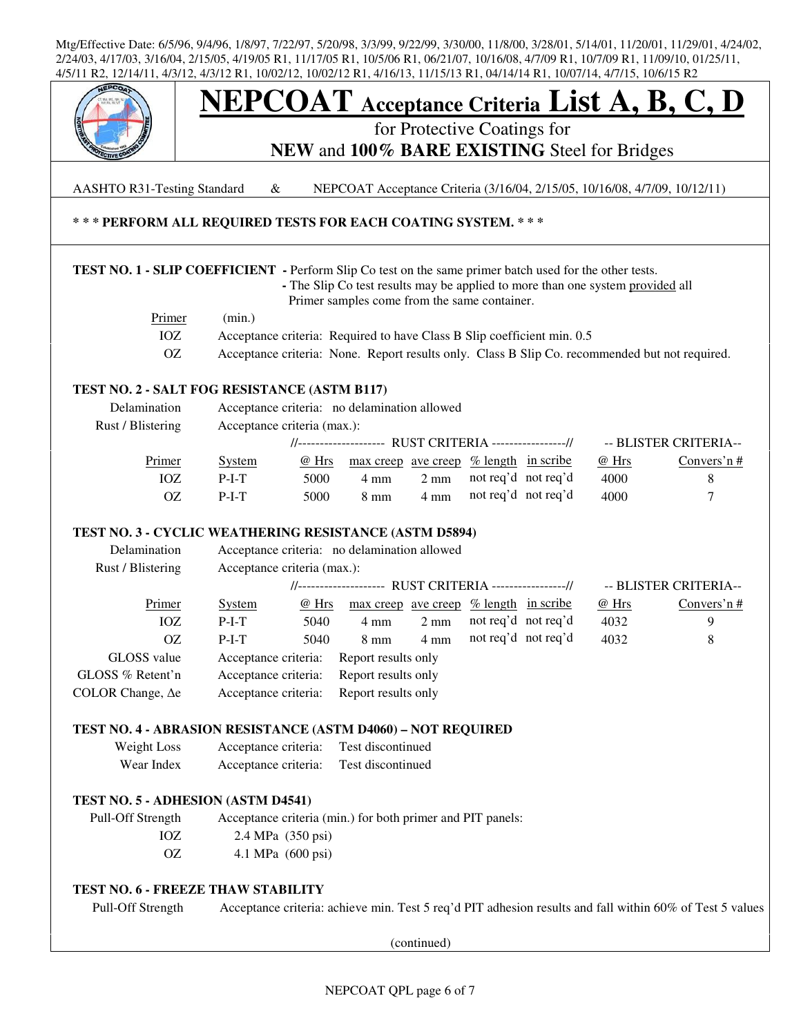

AASHTO R31-Testing Standard & NEPCOAT Acceptance Criteria (3/16/04, 2/15/05, 10/16/08, 4/7/09, 10/12/11)

## **\* \* \* PERFORM ALL REQUIRED TESTS FOR EACH COATING SYSTEM. \* \* \***

### **TEST NO. 1 - SLIP COEFFICIENT -** Perform Slip Co test on the same primer batch used for the other tests.

 **-** The Slip Co test results may be applied to more than one system provided all Primer samples come from the same container.

| <u>Primer</u> | (min.)                                                                                         |
|---------------|------------------------------------------------------------------------------------------------|
|               | Acceptance criteria: Required to have Class B Slip coefficient min. 0.5                        |
|               | Acceptance criteria: None. Report results only. Class B Slip Co. recommended but not required. |

### **TEST NO. 2 - SALT FOG RESISTANCE (ASTM B117)**

| Delamination      | Acceptance criteria: no delamination allowed            |       |                                                                  |                |                     |                     |       |                       |
|-------------------|---------------------------------------------------------|-------|------------------------------------------------------------------|----------------|---------------------|---------------------|-------|-----------------------|
| Rust / Blistering | Acceptance criteria (max.):                             |       |                                                                  |                |                     |                     |       |                       |
|                   | //-------------------- RUST CRITERIA ----------------// |       |                                                                  |                |                     |                     |       | -- BLISTER CRITERIA-- |
| Primer            | <b>System</b>                                           | @ Hrs | $\frac{max\,creep}{ave\,creep}$ % length $\frac{in\,scri}{size}$ |                |                     |                     | @ Hrs | Convers'n $#$         |
| IOZ               | $P-I-T$                                                 | 5000  | 4 mm                                                             | $2 \text{ mm}$ | not req'd not req'd |                     | 4000  |                       |
| OΖ                | $P-I-T$                                                 | 5000  | 8 mm                                                             | $4 \text{ mm}$ |                     | not req'd not req'd | 4000  |                       |
|                   |                                                         |       |                                                                  |                |                     |                     |       |                       |

### **TEST NO. 3 - CYCLIC WEATHERING RESISTANCE (ASTM D5894)**

| Delamination             | Acceptance criteria: no delamination allowed           |       |                                                      |                |  |                     |       |                       |
|--------------------------|--------------------------------------------------------|-------|------------------------------------------------------|----------------|--|---------------------|-------|-----------------------|
| Rust / Blistering        | Acceptance criteria (max.):                            |       |                                                      |                |  |                     |       |                       |
|                          | //------------------- RUST CRITERIA ----------------// |       |                                                      |                |  |                     |       | -- BLISTER CRITERIA-- |
| Primer                   | <b>System</b>                                          | @ Hrs | $\frac{max\,creep\,ave\,creep\,% \,length\,in\,scr}$ |                |  |                     | @ Hrs | Convers'n $#$         |
| IOZ                      | $P-I-T$                                                | 5040  | 4 mm                                                 | $2 \text{ mm}$ |  | not req'd not req'd | 4032  | 9                     |
| OΖ                       | $P-I-T$                                                | 5040  | $8 \text{ mm}$                                       | $4 \text{ mm}$ |  | not req'd not req'd | 4032  | 8                     |
| GLOSS value              | Acceptance criteria:                                   |       | Report results only                                  |                |  |                     |       |                       |
| GLOSS % Retent'n         | Acceptance criteria:                                   |       | Report results only                                  |                |  |                     |       |                       |
| COLOR Change, $\Delta$ e | Acceptance criteria:                                   |       | Report results only                                  |                |  |                     |       |                       |

### **TEST NO. 4 - ABRASION RESISTANCE (ASTM D4060) – NOT REQUIRED**

| Weight Loss | Acceptance criteria: | Test discontinued |
|-------------|----------------------|-------------------|
| Wear Index  | Acceptance criteria: | Test discontinued |

### **TEST NO. 5 - ADHESION (ASTM D4541)**

 Pull-Off Strength Acceptance criteria (min.) for both primer and PIT panels: IOZ 2.4 MPa (350 psi) OZ 4.1 MPa (600 psi)

### **TEST NO. 6 - FREEZE THAW STABILITY**

Pull-Off Strength Acceptance criteria: achieve min. Test 5 req'd PIT adhesion results and fall within 60% of Test 5 values

(continued)